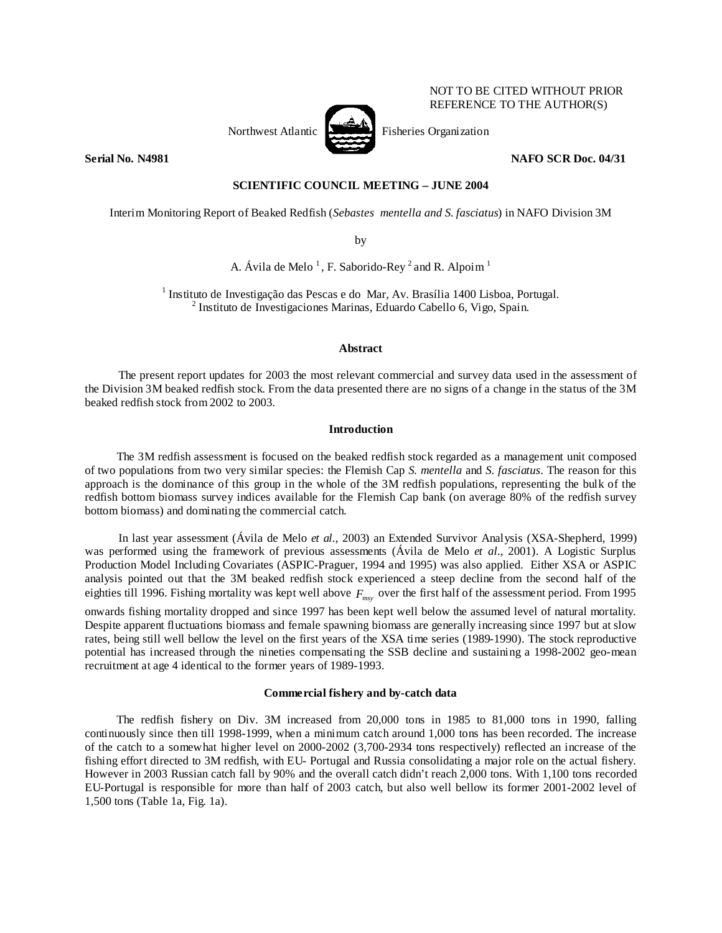

NOT TO BE CITED WITHOUT PRIOR REFERENCE TO THE AUTHOR(S)

# **Serial No. N4981 NAFO SCR Doc. 04/31**

## **SCIENTIFIC COUNCIL MEETING – JUNE 2004**

Interim Monitoring Report of Beaked Redfish (*Sebastes mentella and S. fasciatus*) in NAFO Division 3M

by

A. Ávila de Melo<sup>1</sup>, F. Saborido-Rey<sup>2</sup> and R. Alpoim<sup>1</sup>

<sup>1</sup> Instituto de Investigação das Pescas e do Mar, Av. Brasília 1400 Lisboa, Portugal.  $<sup>2</sup>$  Instituto de Investigaciones Marinas, Eduardo Cabello 6, Vigo, Spain.</sup>

## **Abstract**

The present report updates for 2003 the most relevant commercial and survey data used in the assessment of the Division 3M beaked redfish stock. From the data presented there are no signs of a change in the status of the 3M beaked redfish stock from 2002 to 2003.

## **Introduction**

The 3M redfish assessment is focused on the beaked redfish stock regarded as a management unit composed of two populations from two very similar species: the Flemish Cap *S. mentella* and *S. fasciatus*. The reason for this approach is the dominance of this group in the whole of the 3M redfish populations, representing the bulk of the redfish bottom biomass survey indices available for the Flemish Cap bank (on average 80% of the redfish survey bottom biomass) and dominating the commercial catch.

In last year assessment (Ávila de Melo *et al.*, 2003) an Extended Survivor Analysis (XSA-Shepherd, 1999) was performed using the framework of previous assessments (Ávila de Melo *et al.*, 2001). A Logistic Surplus Production Model Including Covariates (ASPIC-Praguer, 1994 and 1995) was also applied. Either XSA or ASPIC analysis pointed out that the 3M beaked redfish stock experienced a steep decline from the second half of the eighties till 1996. Fishing mortality was kept well above  $F_{\text{mv}}$  over the first half of the assessment period. From 1995

onwards fishing mortality dropped and since 1997 has been kept well below the assumed level of natural mortality. Despite apparent fluctuations biomass and female spawning biomass are generally increasing since 1997 but at slow rates, being still well bellow the level on the first years of the XSA time series (1989-1990). The stock reproductive potential has increased through the nineties compensating the SSB decline and sustaining a 1998-2002 geo-mean recruitment at age 4 identical to the former years of 1989-1993.

### **Commercial fishery and by-catch data**

The redfish fishery on Div. 3M increased from 20,000 tons in 1985 to 81,000 tons in 1990, falling continuously since then till 1998-1999, when a minimum catch around 1,000 tons has been recorded. The increase of the catch to a somewhat higher level on 2000-2002 (3,700-2934 tons respectively) reflected an increase of the fishing effort directed to 3M redfish, with EU- Portugal and Russia consolidating a major role on the actual fishery. However in 2003 Russian catch fall by 90% and the overall catch didn't reach 2,000 tons. With 1,100 tons recorded EU-Portugal is responsible for more than half of 2003 catch, but also well bellow its former 2001-2002 level of 1,500 tons (Table 1a, Fig. 1a).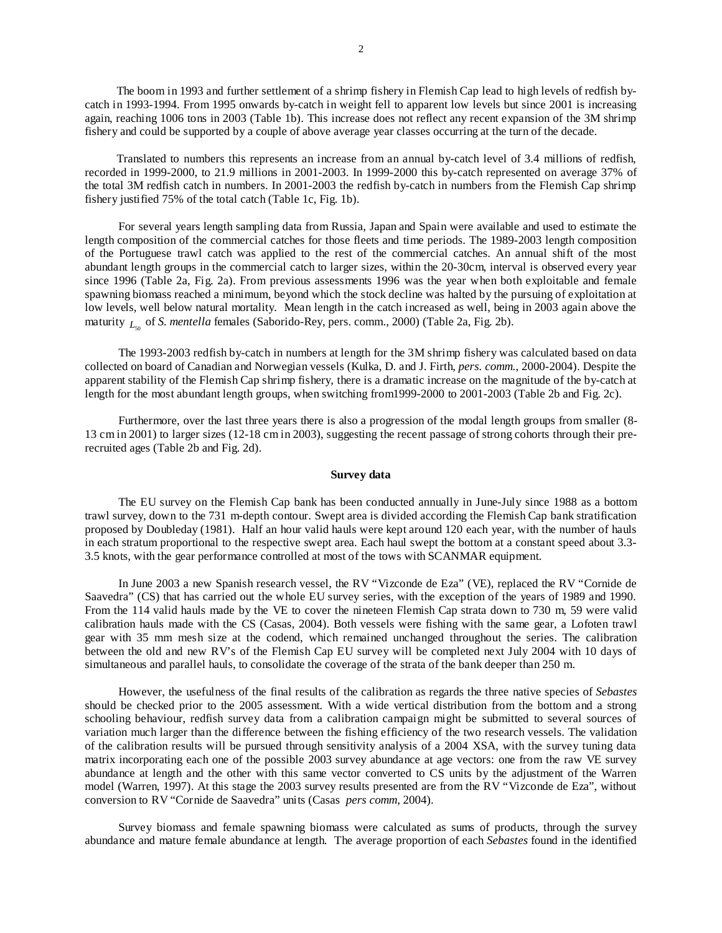The boom in 1993 and further settlement of a shrimp fishery in Flemish Cap lead to high levels of redfish bycatch in 1993-1994. From 1995 onwards by-catch in weight fell to apparent low levels but since 2001 is increasing again, reaching 1006 tons in 2003 (Table 1b). This increase does not reflect any recent expansion of the 3M shrimp fishery and could be supported by a couple of above average year classes occurring at the turn of the decade.

Translated to numbers this represents an increase from an annual by-catch level of 3.4 millions of redfish, recorded in 1999-2000, to 21.9 millions in 2001-2003. In 1999-2000 this by-catch represented on average 37% of the total 3M redfish catch in numbers. In 2001-2003 the redfish by-catch in numbers from the Flemish Cap shrimp fishery justified 75% of the total catch (Table 1c, Fig. 1b).

For several years length sampling data from Russia, Japan and Spain were available and used to estimate the length composition of the commercial catches for those fleets and time periods. The 1989-2003 length composition of the Portuguese trawl catch was applied to the rest of the commercial catches. An annual shift of the most abundant length groups in the commercial catch to larger sizes, within the 20-30cm, interval is observed every year since 1996 (Table 2a, Fig. 2a). From previous assessments 1996 was the year when both exploitable and female spawning biomass reached a minimum, beyond which the stock decline was halted by the pursuing of exploitation at low levels, well below natural mortality. Mean length in the catch increased as well, being in 2003 again above the maturity  $L_{\infty}$  of *S. mentella* females (Saborido-Rey, pers. comm., 2000) (Table 2a, Fig. 2b).

The 1993-2003 redfish by-catch in numbers at length for the 3M shrimp fishery was calculated based on data collected on board of Canadian and Norwegian vessels (Kulka, D. and J. Firth, *pers. comm.*, 2000-2004). Despite the apparent stability of the Flemish Cap shrimp fishery, there is a dramatic increase on the magnitude of the by-catch at length for the most abundant length groups, when switching from1999-2000 to 2001-2003 (Table 2b and Fig. 2c).

Furthermore, over the last three years there is also a progression of the modal length groups from smaller (8- 13 cm in 2001) to larger sizes (12-18 cm in 2003), suggesting the recent passage of strong cohorts through their prerecruited ages (Table 2b and Fig. 2d).

#### **Survey data**

The EU survey on the Flemish Cap bank has been conducted annually in June-July since 1988 as a bottom trawl survey, down to the 731 m-depth contour. Swept area is divided according the Flemish Cap bank stratification proposed by Doubleday (1981). Half an hour valid hauls were kept around 120 each year, with the number of hauls in each stratum proportional to the respective swept area. Each haul swept the bottom at a constant speed about 3.3- 3.5 knots, with the gear performance controlled at most of the tows with SCANMAR equipment.

In June 2003 a new Spanish research vessel, the RV "Vizconde de Eza" (VE), replaced the RV "Cornide de Saavedra" (CS) that has carried out the whole EU survey series, with the exception of the years of 1989 and 1990. From the 114 valid hauls made by the VE to cover the nineteen Flemish Cap strata down to 730 m, 59 were valid calibration hauls made with the CS (Casas, 2004). Both vessels were fishing with the same gear, a Lofoten trawl gear with 35 mm mesh size at the codend, which remained unchanged throughout the series. The calibration between the old and new RV's of the Flemish Cap EU survey will be completed next July 2004 with 10 days of simultaneous and parallel hauls, to consolidate the coverage of the strata of the bank deeper than 250 m.

However, the usefulness of the final results of the calibration as regards the three native species of *Sebastes*  should be checked prior to the 2005 assessment. With a wide vertical distribution from the bottom and a strong schooling behaviour, redfish survey data from a calibration campaign might be submitted to several sources of variation much larger than the difference between the fishing efficiency of the two research vessels. The validation of the calibration results will be pursued through sensitivity analysis of a 2004 XSA, with the survey tuning data matrix incorporating each one of the possible 2003 survey abundance at age vectors: one from the raw VE survey abundance at length and the other with this same vector converted to CS units by the adjustment of the Warren model (Warren, 1997). At this stage the 2003 survey results presented are from the RV "Vizconde de Eza", without conversion to RV "Cornide de Saavedra" units (Casas *pers comm*, 2004).

Survey biomass and female spawning biomass were calculated as sums of products, through the survey abundance and mature female abundance at length. The average proportion of each *Sebastes* found in the identified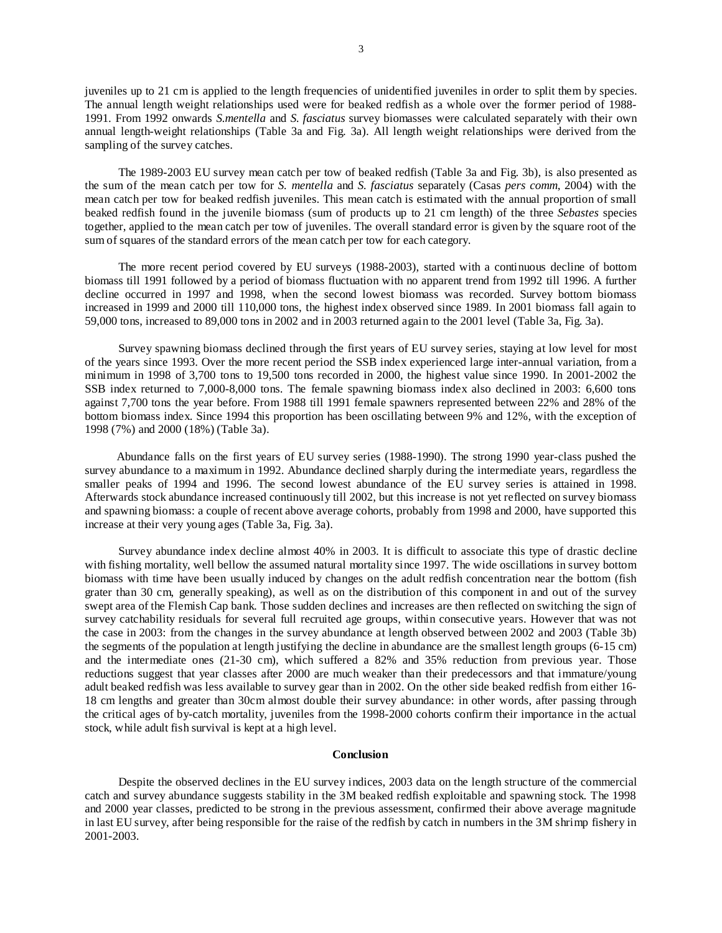juveniles up to 21 cm is applied to the length frequencies of unidentified juveniles in order to split them by species. The annual length weight relationships used were for beaked redfish as a whole over the former period of 1988- 1991. From 1992 onwards *S.mentella* and *S. fasciatus* survey biomasses were calculated separately with their own annual length-weight relationships (Table 3a and Fig. 3a). All length weight relationships were derived from the sampling of the survey catches.

The 1989-2003 EU survey mean catch per tow of beaked redfish (Table 3a and Fig. 3b), is also presented as the sum of the mean catch per tow for *S. mentella* and *S. fasciatus* separately (Casas *pers comm*, 2004) with the mean catch per tow for beaked redfish juveniles. This mean catch is estimated with the annual proportion of small beaked redfish found in the juvenile biomass (sum of products up to 21 cm length) of the three *Sebastes* species together, applied to the mean catch per tow of juveniles. The overall standard error is given by the square root of the sum of squares of the standard errors of the mean catch per tow for each category.

The more recent period covered by EU surveys (1988-2003), started with a continuous decline of bottom biomass till 1991 followed by a period of biomass fluctuation with no apparent trend from 1992 till 1996. A further decline occurred in 1997 and 1998, when the second lowest biomass was recorded. Survey bottom biomass increased in 1999 and 2000 till 110,000 tons, the highest index observed since 1989. In 2001 biomass fall again to 59,000 tons, increased to 89,000 tons in 2002 and in 2003 returned again to the 2001 level (Table 3a, Fig. 3a).

Survey spawning biomass declined through the first years of EU survey series, staying at low level for most of the years since 1993. Over the more recent period the SSB index experienced large inter-annual variation, from a minimum in 1998 of 3,700 tons to 19,500 tons recorded in 2000, the highest value since 1990. In 2001-2002 the SSB index returned to 7,000-8,000 tons. The female spawning biomass index also declined in 2003: 6,600 tons against 7,700 tons the year before. From 1988 till 1991 female spawners represented between 22% and 28% of the bottom biomass index. Since 1994 this proportion has been oscillating between 9% and 12%, with the exception of 1998 (7%) and 2000 (18%) (Table 3a).

Abundance falls on the first years of EU survey series (1988-1990). The strong 1990 year-class pushed the survey abundance to a maximum in 1992. Abundance declined sharply during the intermediate years, regardless the smaller peaks of 1994 and 1996. The second lowest abundance of the EU survey series is attained in 1998. Afterwards stock abundance increased continuously till 2002, but this increase is not yet reflected on survey biomass and spawning biomass: a couple of recent above average cohorts, probably from 1998 and 2000, have supported this increase at their very young ages (Table 3a, Fig. 3a).

Survey abundance index decline almost 40% in 2003. It is difficult to associate this type of drastic decline with fishing mortality, well bellow the assumed natural mortality since 1997. The wide oscillations in survey bottom biomass with time have been usually induced by changes on the adult redfish concentration near the bottom (fish grater than 30 cm, generally speaking), as well as on the distribution of this component in and out of the survey swept area of the Flemish Cap bank. Those sudden declines and increases are then reflected on switching the sign of survey catchability residuals for several full recruited age groups, within consecutive years. However that was not the case in 2003: from the changes in the survey abundance at length observed between 2002 and 2003 (Table 3b) the segments of the population at length justifying the decline in abundance are the smallest length groups (6-15 cm) and the intermediate ones (21-30 cm), which suffered a 82% and 35% reduction from previous year. Those reductions suggest that year classes after 2000 are much weaker than their predecessors and that immature/young adult beaked redfish was less available to survey gear than in 2002. On the other side beaked redfish from either 16- 18 cm lengths and greater than 30cm almost double their survey abundance: in other words, after passing through the critical ages of by-catch mortality, juveniles from the 1998-2000 cohorts confirm their importance in the actual stock, while adult fish survival is kept at a high level.

#### **Conclusion**

Despite the observed declines in the EU survey indices, 2003 data on the length structure of the commercial catch and survey abundance suggests stability in the 3M beaked redfish exploitable and spawning stock. The 1998 and 2000 year classes, predicted to be strong in the previous assessment, confirmed their above average magnitude in last EU survey, after being responsible for the raise of the redfish by catch in numbers in the 3M shrimp fishery in 2001-2003.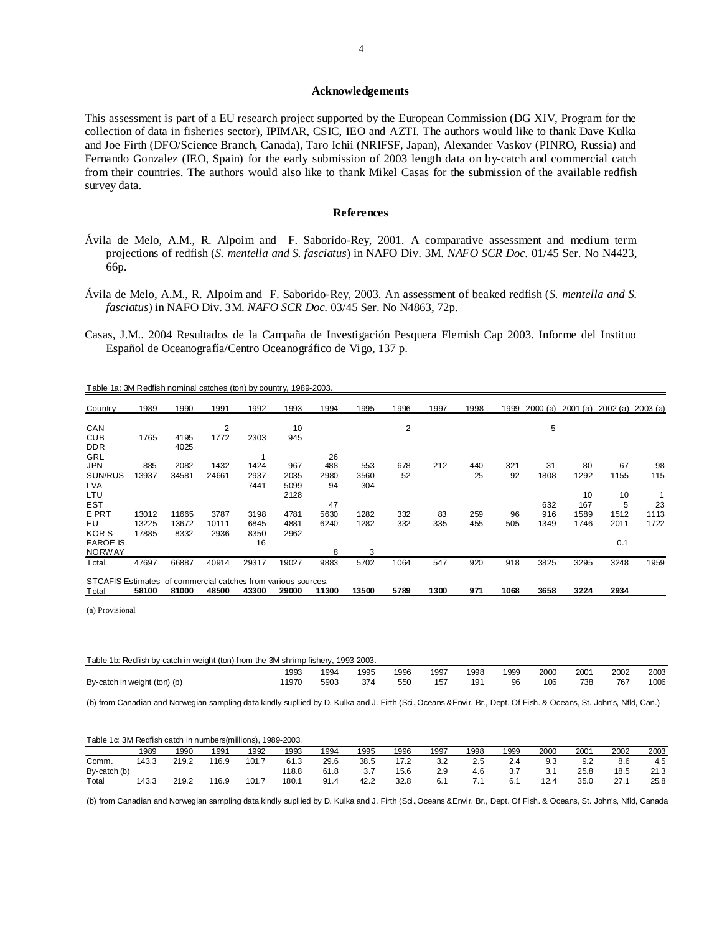#### **Acknowledgements**

This assessment is part of a EU research project supported by the European Commission (DG XIV, Program for the collection of data in fisheries sector), IPIMAR, CSIC, IEO and AZTI. The authors would like to thank Dave Kulka and Joe Firth (DFO/Science Branch, Canada), Taro Ichii (NRIFSF, Japan), Alexander Vaskov (PINRO, Russia) and Fernando Gonzalez (IEO, Spain) for the early submission of 2003 length data on by-catch and commercial catch from their countries. The authors would also like to thank Mikel Casas for the submission of the available redfish survey data.

#### **References**

- Ávila de Melo, A.M., R. Alpoim and F. Saborido-Rey, 2001. A comparative assessment and medium term projections of redfish (*S. mentella and S. fasciatus*) in NAFO Div. 3M. *NAFO SCR Doc.* 01/45 Ser. No N4423, 66p.
- Ávila de Melo, A.M., R. Alpoim and F. Saborido-Rey, 2003. An assessment of beaked redfish (*S. mentella and S. fasciatus*) in NAFO Div. 3M. *NAFO SCR Doc.* 03/45 Ser. No N4863, 72p.
- Casas, J.M.. 2004 Resultados de la Campaña de Investigación Pesquera Flemish Cap 2003. Informe del Instituo Español de Oceanografía/Centro Oceanográfico de Vigo, 137 p.

| Country                                                       | 1989  | 1990         | 1991  | 1992  | 1993  | 1994  | 1995  | 1996 | 1997 | 1998 | 1999 | 2000(a) | 2001<br>(a) | 2002(a) | 2003(a) |
|---------------------------------------------------------------|-------|--------------|-------|-------|-------|-------|-------|------|------|------|------|---------|-------------|---------|---------|
| CAN                                                           |       |              | 2     |       | 10    |       |       | 2    |      |      |      | 5       |             |         |         |
| <b>CUB</b><br><b>DDR</b>                                      | 1765  | 4195<br>4025 | 1772  | 2303  | 945   |       |       |      |      |      |      |         |             |         |         |
| GRL                                                           |       |              |       |       |       | 26    |       |      |      |      |      |         |             |         |         |
| <b>JPN</b>                                                    | 885   | 2082         | 1432  | 1424  | 967   | 488   | 553   | 678  | 212  | 440  | 321  | 31      | 80          | 67      | 98      |
| SUN/RUS                                                       | 13937 | 34581        | 24661 | 2937  | 2035  | 2980  | 3560  | 52   |      | 25   | 92   | 1808    | 1292        | 1155    | 115     |
| <b>LVA</b>                                                    |       |              |       | 7441  | 5099  | 94    | 304   |      |      |      |      |         |             |         |         |
| LTU                                                           |       |              |       |       | 2128  |       |       |      |      |      |      |         | 10          | 10      |         |
| <b>EST</b>                                                    |       |              |       |       |       | 47    |       |      |      |      |      | 632     | 167         | 5       | 23      |
| E PRT                                                         | 13012 | 11665        | 3787  | 3198  | 4781  | 5630  | 1282  | 332  | 83   | 259  | 96   | 916     | 1589        | 1512    | 1113    |
| EU                                                            | 13225 | 13672        | 10111 | 6845  | 4881  | 6240  | 1282  | 332  | 335  | 455  | 505  | 1349    | 1746        | 2011    | 1722    |
| KOR-S                                                         | 17885 | 8332         | 2936  | 8350  | 2962  |       |       |      |      |      |      |         |             |         |         |
| <b>FAROE IS.</b>                                              |       |              |       | 16    |       |       |       |      |      |      |      |         |             | 0.1     |         |
| <b>NORWAY</b>                                                 |       |              |       |       |       | 8     | 3     |      |      |      |      |         |             |         |         |
| Total                                                         | 47697 | 66887        | 40914 | 29317 | 19027 | 9883  | 5702  | 1064 | 547  | 920  | 918  | 3825    | 3295        | 3248    | 1959    |
| STCAFIS Estimates of commercial catches from various sources. |       |              |       |       |       |       |       |      |      |      |      |         |             |         |         |
| Total                                                         | 58100 | 81000        | 48500 | 43300 | 29000 | 11300 | 13500 | 5789 | 1300 | 971  | 1068 | 3658    | 3224        | 2934    |         |

Table 1a: 3M Redfish nominal catches (ton) by country, 1989-2003.

(a) Provisional

| Table<br>3M shrimp<br>1993-2003.<br>/-catch in weight (ton) from the<br>Redfish by-c<br>) fisherv |      |                   |      |                   |              |                 |         |      |             |      |      |  |
|---------------------------------------------------------------------------------------------------|------|-------------------|------|-------------------|--------------|-----------------|---------|------|-------------|------|------|--|
|                                                                                                   | 1993 | $\sim$<br>994     | 1995 | 1996              | 1997         | 1998            | 1999    | 2000 | 200'        | 2002 | 2003 |  |
| By-catch<br>$(ton)$ $(b)$<br>ch in weiaht                                                         | 1970 | FOP<br>5.u<br>uuu | 374  | <b>660</b><br>JJ. | .<br>∽<br>ູບ | 19 <sup>·</sup> | ΩC<br>ັ | 106  | 735<br>ىن ' | 767  | 1006 |  |

(b) from Canadian and Norwegian sampling data kindly supllied by D. Kulka and J. Firth (Sci.,Oceans &Envir. Br., Dept. Of Fish. & Oceans, St. John's, Nfld, Can.)

| Table 1c: 3M Redfish catch in numbers (millions). |       |       |       |       | 1989-2003. |      |      |      |      |      |      |      |      |      |      |
|---------------------------------------------------|-------|-------|-------|-------|------------|------|------|------|------|------|------|------|------|------|------|
|                                                   | 1989  | 1990  | 1991  | 1992  | 1993       | 1994 | 1995 | 1996 | 1997 | 1998 | 1999 | 2000 | 2001 | 2002 | 2003 |
| Comm.                                             | 143.3 | 219.2 | 116.9 | 101.7 | 61.3       | 29.6 | 38.5 | 17.2 | 3.2  | 2.5  | 2.4  | 9.3  | 9.2  | 8.6  | 4.5  |
| By-catch (b)                                      |       |       |       |       | 118.8      | 61.8 | 3.7  | 15.6 | 2.9  | 4.6  |      | 3.1  | 25.8 | 18.5 | 21.3 |
| Total                                             | 143.3 | 219.2 | 116.9 | 101.7 | 180.1      | 91.4 | 42.2 | 32.8 | 6.7  |      |      | 12.4 | 35.0 | 27.7 | 25.8 |

(b) from Canadian and Norwegian sampling data kindly supllied by D. Kulka and J. Firth (Sci.,Oceans &Envir. Br., Dept. Of Fish. & Oceans, St. John's, Nfld, Canada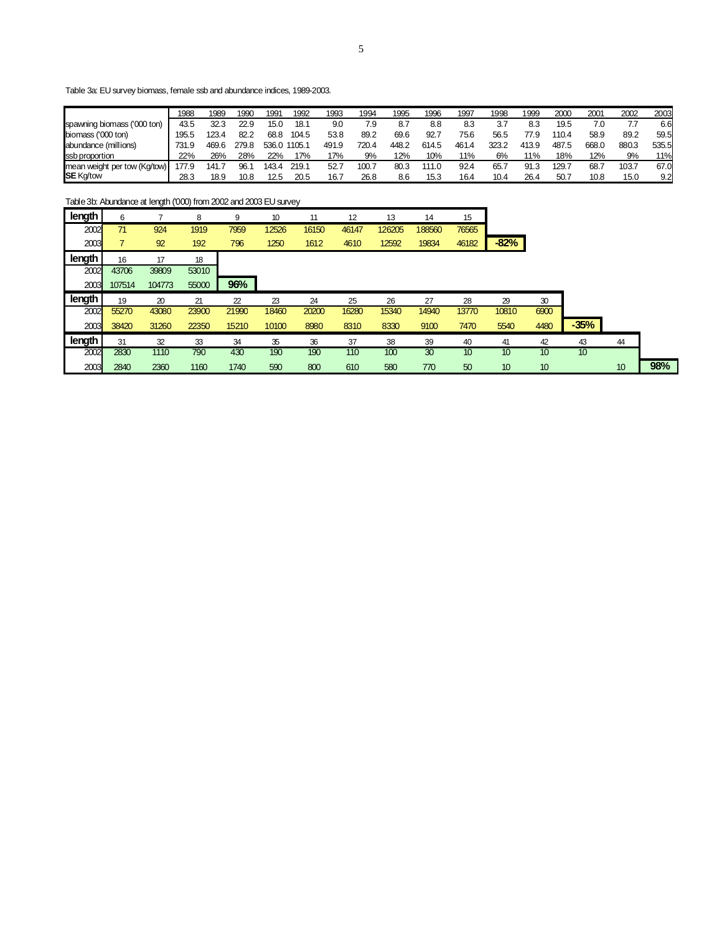Table 3a: EU survey biomass, female ssb and abundance indices, 1989-2003.

|                              | 1988  | 1989  | 1990  | 199   | 1992         | 1993  | 1994  | 1995  | 1996  | 1997  | 1998  | 1999  | 200C  | 200'  | 2002  | 2003  |
|------------------------------|-------|-------|-------|-------|--------------|-------|-------|-------|-------|-------|-------|-------|-------|-------|-------|-------|
| spawning biomass ('000 ton)  | 43.5  | 32.3  | 22.9  | 15.0  | 18.1         | 9.0   | 7.9   | 8.7   | 8.8   | 8.3   | 3.7   | 8.3   | 19.5  | 7.0   |       | 6.6   |
| biomass ('000 ton)           | 195.5 | 123.4 | 82.2  | 68.8  | 104.5        | 53.8  | 89.2  | 69.6  | 92.7  | 75.6  | 56.5  | 77.9  | 110.4 | 58.9  | 89.2  | 59.5  |
| abundance (millions)         | 731.9 | 469.6 | 279.8 |       | 536.0 1105.1 | 491.9 | 720.4 | 448.2 | 614.5 | 461.4 | 323.2 | 413.9 | 487.5 | 668.0 | 880.3 | 535.5 |
| ssb proportion               | 22%   | 26%   | 28%   | 22%   | 17%          | 17%   | 9%    | 12%   | 10%   | 11%   | 6%    | 11%   | 18%   | 12%   | 9%    | 11%   |
| mean weight per tow (Kg/tow) | 77.9  | 141.  | 96.   | 143.4 | 219.1        | 52.7  | 100.7 | 80.3  | 111.0 | 92.4  | 65.7  | 91.3  | 129.7 | 68.7  | 103.7 | 67.0  |
| <b>SE Kg/tow</b>             | 28.3  | 18.9  | 10.8  | 12.5  | 20.5         | 16.7  | 26.8  | 8.6   | 15.3  | 16.4  | 10.4  | 26.4  | 50.7  | 10.8  | 15.0  | 9.2   |

Table 3b: Abundance at length ('000) from 2002 and 2003 EU survey

| length | 6      |        | 8     | 9     | 10 <sup>10</sup> | 11    | 12    | 13     | 14     | 15    |        |      |        |    |  |
|--------|--------|--------|-------|-------|------------------|-------|-------|--------|--------|-------|--------|------|--------|----|--|
| 2002   | 71     | 924    | 1919  | 7959  | 12526            | 16150 | 46147 | 126205 | 188560 | 76565 |        |      |        |    |  |
| 2003   |        | 92     | 192   | 796   | 1250             | 1612  | 4610  | 12592  | 19834  | 46182 | $-82%$ |      |        |    |  |
| length | 16     | 17     | 18    |       |                  |       |       |        |        |       |        |      |        |    |  |
| 2002   | 43706  | 39809  | 53010 |       |                  |       |       |        |        |       |        |      |        |    |  |
| 2003   | 107514 | 104773 | 55000 | 96%   |                  |       |       |        |        |       |        |      |        |    |  |
|        |        |        |       |       |                  |       |       |        |        |       |        |      |        |    |  |
| length | 19     | 20     | 21    | 22    | 23               | 24    | 25    | 26     | 27     | 28    | 29     | 30   |        |    |  |
| 2002   | 55270  | 43080  | 23900 | 21990 | 18460            | 20200 | 16280 | 15340  | 14940  | 13770 | 10810  | 6900 |        |    |  |
| 2003   | 38420  | 31260  | 22350 | 15210 | 10100            | 8980  | 8310  | 8330   | 9100   | 7470  | 5540   | 4480 | $-35%$ |    |  |
| length | 31     | 32     | 33    | 34    | 35               | 36    | 37    | 38     | 39     | 40    | 41     | 42   | 43     | 44 |  |
| 2002   | 2830   | 1110   | 790   | 430   | 190              | 190   | 110   | 100    | 30     | 10    | 10     | 10   | 10     |    |  |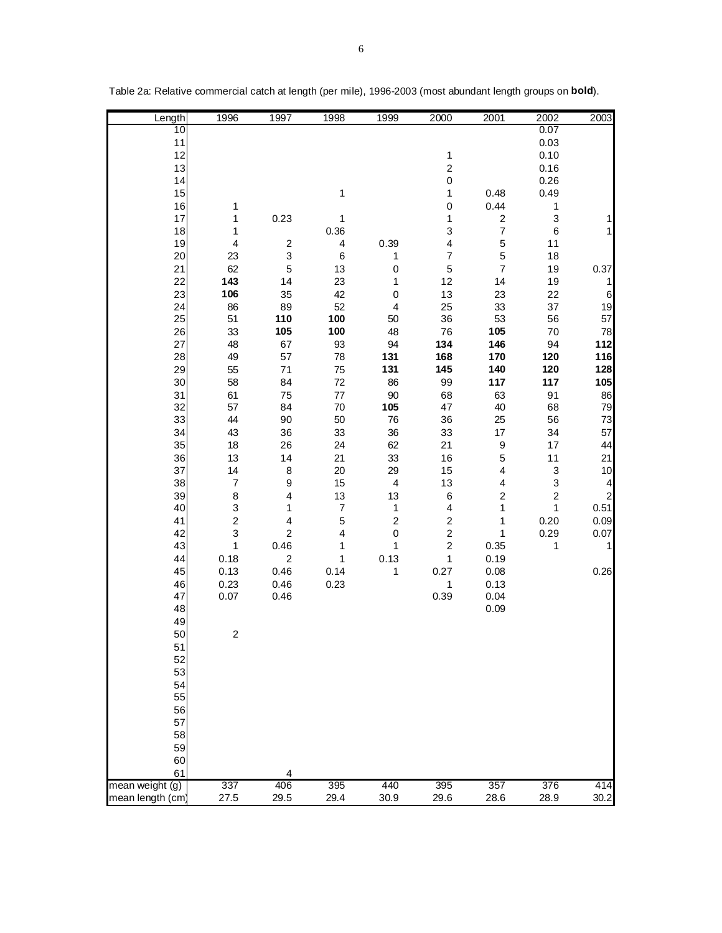| Length                | 1996                          | 1997                                   | 1998                             | 1999                    | 2000                                   | 2001                                   | 2002             | 2003                    |
|-----------------------|-------------------------------|----------------------------------------|----------------------------------|-------------------------|----------------------------------------|----------------------------------------|------------------|-------------------------|
| 10                    |                               |                                        |                                  |                         |                                        |                                        | 0.07             |                         |
| 11<br>12              |                               |                                        |                                  |                         |                                        |                                        | 0.03             |                         |
| 13                    |                               |                                        |                                  |                         | $\mathbf 1$<br>$\overline{\mathbf{c}}$ |                                        | 0.10<br>0.16     |                         |
| 14                    |                               |                                        |                                  |                         | $\mathbf 0$                            |                                        | 0.26             |                         |
| 15                    |                               |                                        | $\mathbf 1$                      |                         | 1                                      | 0.48                                   | 0.49             |                         |
| 16                    | 1                             |                                        |                                  |                         | $\pmb{0}$                              | 0.44                                   | $\mathbf 1$      |                         |
| 17                    | 1                             | 0.23                                   | 1                                |                         | 1                                      | $\mathbf 2$                            | 3                | 1                       |
| 18                    | 1                             |                                        | 0.36                             |                         | 3                                      | $\boldsymbol{7}$                       | $\,6$            | $\mathbf{1}$            |
| 19<br>20              | $\overline{\mathbf{4}}$<br>23 | $\overline{\mathbf{c}}$<br>$\mathsf 3$ | $\overline{\mathbf{4}}$<br>$\,6$ | 0.39                    | 4<br>$\overline{\mathcal{I}}$          | 5<br>$\mathbf 5$                       | 11<br>18         |                         |
| 21                    | 62                            | $\mathbf 5$                            | 13                               | 1<br>$\pmb{0}$          | $\mathbf 5$                            | $\boldsymbol{7}$                       | 19               | 0.37                    |
| 22                    | 143                           | 14                                     | 23                               | 1                       | 12                                     | 14                                     | 19               | 1                       |
| 23                    | 106                           | 35                                     | 42                               | $\mathsf 0$             | 13                                     | 23                                     | 22               | $\,$ 6 $\,$             |
| 24                    | 86                            | 89                                     | 52                               | 4                       | 25                                     | 33                                     | $37\,$           | 19                      |
| 25                    | 51                            | 110                                    | 100                              | 50                      | 36                                     | 53                                     | 56               | 57                      |
| 26                    | 33                            | 105                                    | 100                              | 48                      | 76                                     | 105                                    | 70               | 78                      |
| 27                    | 48                            | 67                                     | 93                               | 94                      | 134                                    | 146                                    | 94               | 112                     |
| 28<br>29              | 49<br>55                      | 57<br>71                               | 78<br>75                         | 131<br>131              | 168<br>145                             | 170<br>140                             | 120<br>120       | 116<br>128              |
| 30                    | 58                            | 84                                     | $72\,$                           | 86                      | 99                                     | 117                                    | 117              | 105                     |
| 31                    | 61                            | 75                                     | $77\,$                           | $90\,$                  | 68                                     | 63                                     | 91               | 86                      |
| 32                    | 57                            | 84                                     | $70\,$                           | 105                     | 47                                     | 40                                     | 68               | 79                      |
| 33                    | 44                            | 90                                     | 50                               | 76                      | 36                                     | 25                                     | 56               | $73\,$                  |
| 34                    | 43                            | 36                                     | 33                               | 36                      | 33                                     | $17\,$                                 | 34               | 57                      |
| 35                    | 18                            | 26                                     | 24                               | 62                      | 21                                     | 9                                      | 17               | 44                      |
| 36<br>37              | 13<br>14                      | 14<br>8                                | 21<br>20                         | 33<br>29                | 16<br>15                               | $\mathbf 5$<br>$\overline{\mathbf{4}}$ | 11<br>3          | 21<br>10                |
| 38                    | $\boldsymbol{7}$              | 9                                      | 15                               | $\overline{\mathbf{4}}$ | 13                                     | 4                                      | 3                | $\overline{\mathbf{4}}$ |
| 39                    | 8                             | $\overline{\mathbf{4}}$                | 13                               | 13                      | $\,6$                                  | $\boldsymbol{2}$                       | $\boldsymbol{2}$ | $\overline{c}$          |
| 40                    | 3                             | 1                                      | $\overline{7}$                   | 1                       | 4                                      | $\mathbf{1}$                           | 1                | 0.51                    |
| 41                    | $\overline{c}$                | 4                                      | 5                                | $\overline{c}$          | $\mathbf 2$                            | $\mathbf{1}$                           | 0.20             | 0.09                    |
| 42                    | 3                             | $\overline{c}$                         | $\overline{\mathbf{4}}$          | $\mathsf 0$             | $\overline{c}$                         | $\mathbf{1}$                           | 0.29             | 0.07                    |
| 43<br>44              | 1                             | 0.46<br>$\overline{\mathbf{c}}$        | 1<br>1                           | 1                       | $\overline{c}$                         | 0.35                                   | 1                | $\mathbf{1}$            |
| 45                    | 0.18<br>0.13                  | 0.46                                   | 0.14                             | 0.13<br>1               | 1<br>0.27                              | 0.19<br>0.08                           |                  | 0.26                    |
| 46                    | 0.23                          | 0.46                                   | 0.23                             |                         | $\mathbf 1$                            | 0.13                                   |                  |                         |
| 47                    | 0.07                          | 0.46                                   |                                  |                         | 0.39                                   | 0.04                                   |                  |                         |
| 48                    |                               |                                        |                                  |                         |                                        | 0.09                                   |                  |                         |
| 49                    |                               |                                        |                                  |                         |                                        |                                        |                  |                         |
| 50                    | $\boldsymbol{2}$              |                                        |                                  |                         |                                        |                                        |                  |                         |
| 51<br>52              |                               |                                        |                                  |                         |                                        |                                        |                  |                         |
| 53                    |                               |                                        |                                  |                         |                                        |                                        |                  |                         |
| 54                    |                               |                                        |                                  |                         |                                        |                                        |                  |                         |
| 55                    |                               |                                        |                                  |                         |                                        |                                        |                  |                         |
| 56                    |                               |                                        |                                  |                         |                                        |                                        |                  |                         |
| 57                    |                               |                                        |                                  |                         |                                        |                                        |                  |                         |
| 58                    |                               |                                        |                                  |                         |                                        |                                        |                  |                         |
| 59                    |                               |                                        |                                  |                         |                                        |                                        |                  |                         |
| 60                    |                               |                                        |                                  |                         |                                        |                                        |                  |                         |
| 61<br>mean weight (g) | 337                           | 4<br>406                               | 395                              | 440                     | 395                                    | 357                                    | 376              | 414                     |
| mean length (cm)      | 27.5                          | 29.5                                   | 29.4                             | 30.9                    | 29.6                                   | 28.6                                   | 28.9             | 30.2                    |

Table 2a: Relative commercial catch at length (per mile), 1996-2003 (most abundant length groups on **bold**).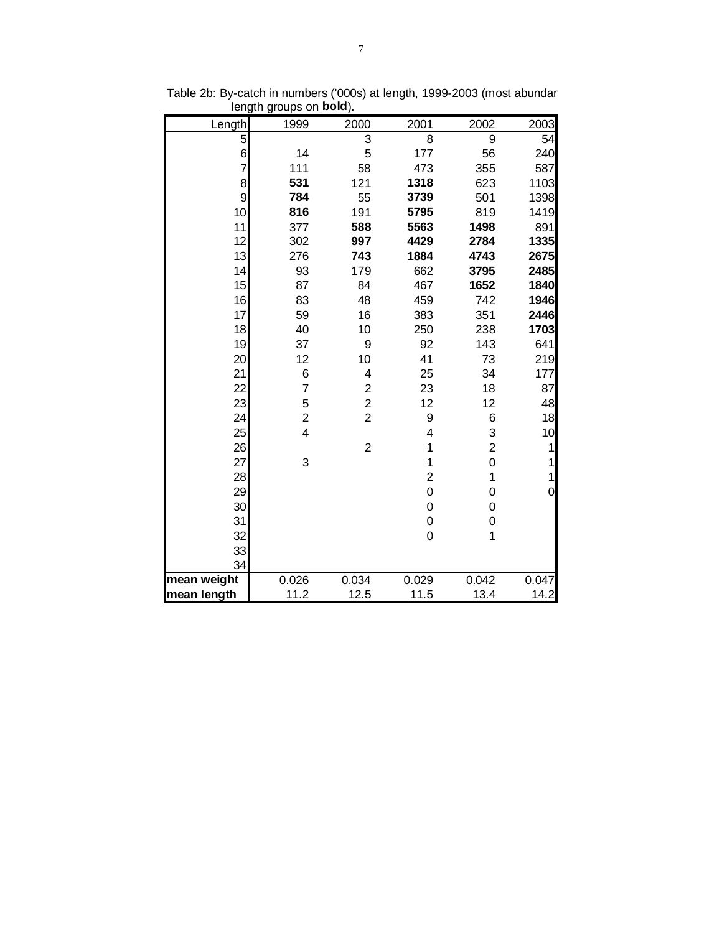| Length         | 1999           | 2000                    | 2001                    | 2002           | 2003  |
|----------------|----------------|-------------------------|-------------------------|----------------|-------|
| 5              |                | 3                       | 8                       | 9              | 54    |
| 6              | 14             | 5                       | 177                     | 56             | 240   |
| $\overline{7}$ | 111            | 58                      | 473                     | 355            | 587   |
| 8              | 531            | 121                     | 1318                    | 623            | 1103  |
| 9              | 784            | 55                      | 3739                    | 501            | 1398  |
| 10             | 816            | 191                     | 5795                    | 819            | 1419  |
| 11             | 377            | 588                     | 5563                    | 1498           | 891   |
| 12             | 302            | 997                     | 4429                    | 2784           | 1335  |
| 13             | 276            | 743                     | 1884                    | 4743           | 2675  |
| 14             | 93             | 179                     | 662                     | 3795           | 2485  |
| 15             | 87             | 84                      | 467                     | 1652           | 1840  |
| 16             | 83             | 48                      | 459                     | 742            | 1946  |
| 17             | 59             | 16                      | 383                     | 351            | 2446  |
| 18             | 40             | 10                      | 250                     | 238            | 1703  |
| 19             | 37             | 9                       | 92                      | 143            | 641   |
| 20             | 12             | 10                      | 41                      | 73             | 219   |
| 21             | 6              | 4                       | 25                      | 34             | 177   |
| 22             | $\overline{7}$ | $\overline{c}$          | 23                      | 18             | 87    |
| 23             | 5              | $\overline{\mathbf{c}}$ | 12                      | 12             | 48    |
| 24             | $\overline{c}$ | $\overline{2}$          | 9                       | 6              | 18    |
| 25             | 4              |                         | $\overline{\mathbf{4}}$ | 3              | 10    |
| 26             |                | $\overline{2}$          | 1                       | $\overline{2}$ | 1     |
| 27             | 3              |                         | 1                       | 0              | 1     |
| 28             |                |                         | $\overline{2}$          | $\mathbf{1}$   | 1     |
| 29             |                |                         | $\mathsf{O}\xspace$     | 0              | 0     |
| 30             |                |                         | 0                       | 0              |       |
| 31             |                |                         | 0                       | 0              |       |
| 32             |                |                         | 0                       | 1              |       |
| 33             |                |                         |                         |                |       |
| 34             |                |                         |                         |                |       |
| mean weight    | 0.026          | 0.034                   | 0.029                   | 0.042          | 0.047 |
| mean length    | 11.2           | 12.5                    | 11.5                    | 13.4           | 14.2  |

Table 2b: By-catch in numbers ('000s) at length, 1999-2003 (most abundan length groups on **bold**).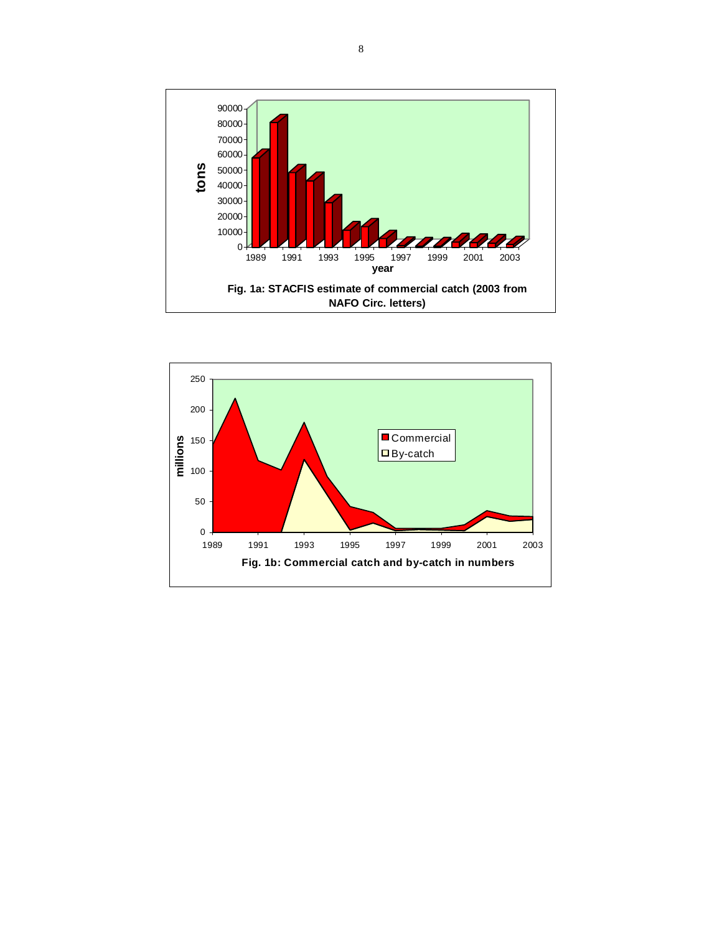

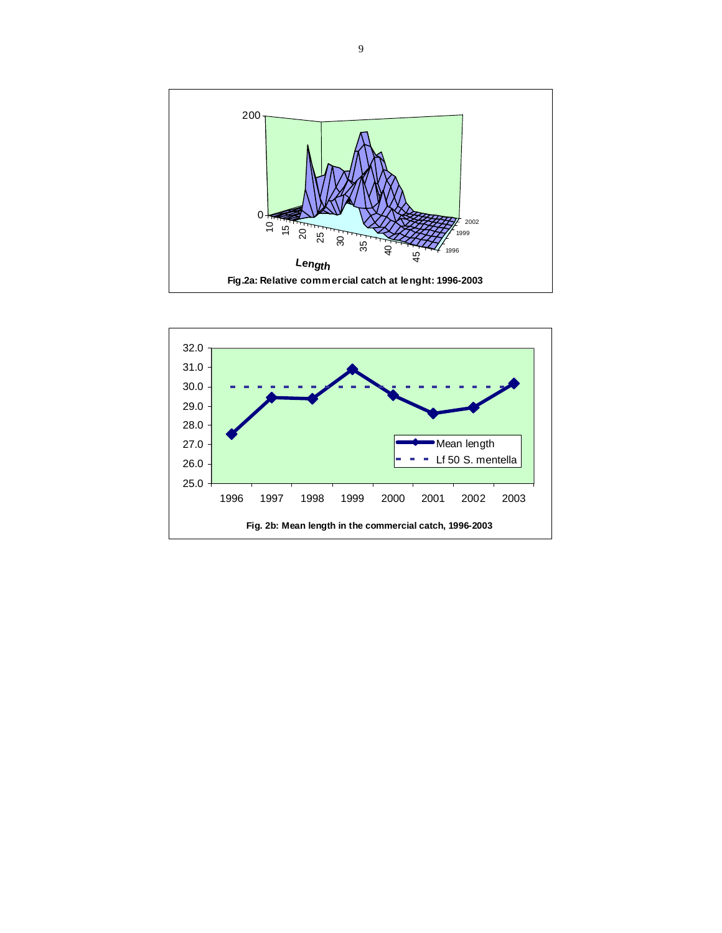

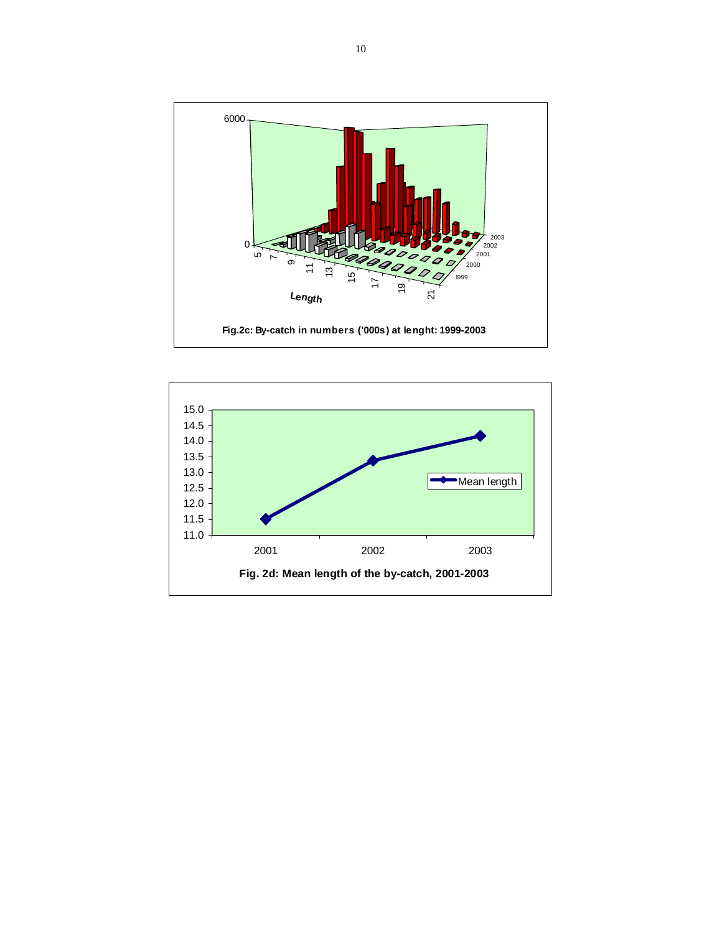